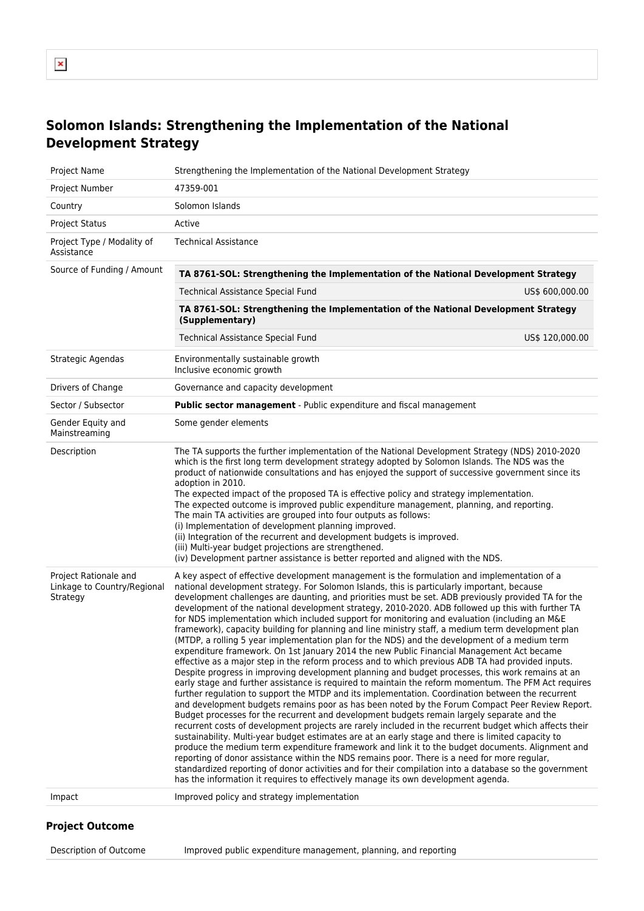# **Solomon Islands: Strengthening the Implementation of the National Development Strategy**

| 47359-001<br>Project Number<br>Solomon Islands<br>Country<br><b>Project Status</b><br>Active<br><b>Technical Assistance</b><br>Project Type / Modality of<br>Assistance<br>Source of Funding / Amount<br>TA 8761-SOL: Strengthening the Implementation of the National Development Strategy<br>Technical Assistance Special Fund<br>US\$ 600,000.00<br>TA 8761-SOL: Strengthening the Implementation of the National Development Strategy<br>(Supplementary)<br><b>Technical Assistance Special Fund</b><br>US\$ 120,000.00<br>Environmentally sustainable growth<br>Strategic Agendas<br>Inclusive economic growth<br>Drivers of Change<br>Governance and capacity development<br>Sector / Subsector<br>Public sector management - Public expenditure and fiscal management<br>Gender Equity and<br>Some gender elements<br>Mainstreaming<br>Description<br>The TA supports the further implementation of the National Development Strategy (NDS) 2010-2020<br>which is the first long term development strategy adopted by Solomon Islands. The NDS was the<br>product of nationwide consultations and has enjoyed the support of successive government since its<br>adoption in 2010.<br>The expected impact of the proposed TA is effective policy and strategy implementation.<br>The expected outcome is improved public expenditure management, planning, and reporting.<br>The main TA activities are grouped into four outputs as follows:<br>(i) Implementation of development planning improved.<br>(ii) Integration of the recurrent and development budgets is improved.<br>(iii) Multi-year budget projections are strengthened.<br>(iv) Development partner assistance is better reported and aligned with the NDS.<br>Project Rationale and<br>A key aspect of effective development management is the formulation and implementation of a<br>Linkage to Country/Regional<br>national development strategy. For Solomon Islands, this is particularly important, because<br>development challenges are daunting, and priorities must be set. ADB previously provided TA for the<br>Strategy<br>development of the national development strategy, 2010-2020. ADB followed up this with further TA<br>for NDS implementation which included support for monitoring and evaluation (including an M&E<br>framework), capacity building for planning and line ministry staff, a medium term development plan<br>(MTDP, a rolling 5 year implementation plan for the NDS) and the development of a medium term<br>expenditure framework. On 1st January 2014 the new Public Financial Management Act became<br>effective as a major step in the reform process and to which previous ADB TA had provided inputs.<br>Despite progress in improving development planning and budget processes, this work remains at an<br>early stage and further assistance is required to maintain the reform momentum. The PFM Act requires<br>further regulation to support the MTDP and its implementation. Coordination between the recurrent<br>and development budgets remains poor as has been noted by the Forum Compact Peer Review Report.<br>Budget processes for the recurrent and development budgets remain largely separate and the<br>recurrent costs of development projects are rarely included in the recurrent budget which affects their<br>sustainability. Multi-year budget estimates are at an early stage and there is limited capacity to<br>produce the medium term expenditure framework and link it to the budget documents. Alignment and<br>reporting of donor assistance within the NDS remains poor. There is a need for more regular,<br>standardized reporting of donor activities and for their compilation into a database so the government<br>has the information it requires to effectively manage its own development agenda.<br>Improved policy and strategy implementation<br>Impact | Project Name | Strengthening the Implementation of the National Development Strategy |  |
|---------------------------------------------------------------------------------------------------------------------------------------------------------------------------------------------------------------------------------------------------------------------------------------------------------------------------------------------------------------------------------------------------------------------------------------------------------------------------------------------------------------------------------------------------------------------------------------------------------------------------------------------------------------------------------------------------------------------------------------------------------------------------------------------------------------------------------------------------------------------------------------------------------------------------------------------------------------------------------------------------------------------------------------------------------------------------------------------------------------------------------------------------------------------------------------------------------------------------------------------------------------------------------------------------------------------------------------------------------------------------------------------------------------------------------------------------------------------------------------------------------------------------------------------------------------------------------------------------------------------------------------------------------------------------------------------------------------------------------------------------------------------------------------------------------------------------------------------------------------------------------------------------------------------------------------------------------------------------------------------------------------------------------------------------------------------------------------------------------------------------------------------------------------------------------------------------------------------------------------------------------------------------------------------------------------------------------------------------------------------------------------------------------------------------------------------------------------------------------------------------------------------------------------------------------------------------------------------------------------------------------------------------------------------------------------------------------------------------------------------------------------------------------------------------------------------------------------------------------------------------------------------------------------------------------------------------------------------------------------------------------------------------------------------------------------------------------------------------------------------------------------------------------------------------------------------------------------------------------------------------------------------------------------------------------------------------------------------------------------------------------------------------------------------------------------------------------------------------------------------------------------------------------------------------------------------------------------------------------------------------------------------------------------------------------------------------------------------------------------------------------------------------------------------------------------------------------------------------------------------------------------------------------------------------|--------------|-----------------------------------------------------------------------|--|
|                                                                                                                                                                                                                                                                                                                                                                                                                                                                                                                                                                                                                                                                                                                                                                                                                                                                                                                                                                                                                                                                                                                                                                                                                                                                                                                                                                                                                                                                                                                                                                                                                                                                                                                                                                                                                                                                                                                                                                                                                                                                                                                                                                                                                                                                                                                                                                                                                                                                                                                                                                                                                                                                                                                                                                                                                                                                                                                                                                                                                                                                                                                                                                                                                                                                                                                                                                                                                                                                                                                                                                                                                                                                                                                                                                                                                                                                                                                           |              |                                                                       |  |
|                                                                                                                                                                                                                                                                                                                                                                                                                                                                                                                                                                                                                                                                                                                                                                                                                                                                                                                                                                                                                                                                                                                                                                                                                                                                                                                                                                                                                                                                                                                                                                                                                                                                                                                                                                                                                                                                                                                                                                                                                                                                                                                                                                                                                                                                                                                                                                                                                                                                                                                                                                                                                                                                                                                                                                                                                                                                                                                                                                                                                                                                                                                                                                                                                                                                                                                                                                                                                                                                                                                                                                                                                                                                                                                                                                                                                                                                                                                           |              |                                                                       |  |
|                                                                                                                                                                                                                                                                                                                                                                                                                                                                                                                                                                                                                                                                                                                                                                                                                                                                                                                                                                                                                                                                                                                                                                                                                                                                                                                                                                                                                                                                                                                                                                                                                                                                                                                                                                                                                                                                                                                                                                                                                                                                                                                                                                                                                                                                                                                                                                                                                                                                                                                                                                                                                                                                                                                                                                                                                                                                                                                                                                                                                                                                                                                                                                                                                                                                                                                                                                                                                                                                                                                                                                                                                                                                                                                                                                                                                                                                                                                           |              |                                                                       |  |
|                                                                                                                                                                                                                                                                                                                                                                                                                                                                                                                                                                                                                                                                                                                                                                                                                                                                                                                                                                                                                                                                                                                                                                                                                                                                                                                                                                                                                                                                                                                                                                                                                                                                                                                                                                                                                                                                                                                                                                                                                                                                                                                                                                                                                                                                                                                                                                                                                                                                                                                                                                                                                                                                                                                                                                                                                                                                                                                                                                                                                                                                                                                                                                                                                                                                                                                                                                                                                                                                                                                                                                                                                                                                                                                                                                                                                                                                                                                           |              |                                                                       |  |
|                                                                                                                                                                                                                                                                                                                                                                                                                                                                                                                                                                                                                                                                                                                                                                                                                                                                                                                                                                                                                                                                                                                                                                                                                                                                                                                                                                                                                                                                                                                                                                                                                                                                                                                                                                                                                                                                                                                                                                                                                                                                                                                                                                                                                                                                                                                                                                                                                                                                                                                                                                                                                                                                                                                                                                                                                                                                                                                                                                                                                                                                                                                                                                                                                                                                                                                                                                                                                                                                                                                                                                                                                                                                                                                                                                                                                                                                                                                           |              |                                                                       |  |
|                                                                                                                                                                                                                                                                                                                                                                                                                                                                                                                                                                                                                                                                                                                                                                                                                                                                                                                                                                                                                                                                                                                                                                                                                                                                                                                                                                                                                                                                                                                                                                                                                                                                                                                                                                                                                                                                                                                                                                                                                                                                                                                                                                                                                                                                                                                                                                                                                                                                                                                                                                                                                                                                                                                                                                                                                                                                                                                                                                                                                                                                                                                                                                                                                                                                                                                                                                                                                                                                                                                                                                                                                                                                                                                                                                                                                                                                                                                           |              |                                                                       |  |
|                                                                                                                                                                                                                                                                                                                                                                                                                                                                                                                                                                                                                                                                                                                                                                                                                                                                                                                                                                                                                                                                                                                                                                                                                                                                                                                                                                                                                                                                                                                                                                                                                                                                                                                                                                                                                                                                                                                                                                                                                                                                                                                                                                                                                                                                                                                                                                                                                                                                                                                                                                                                                                                                                                                                                                                                                                                                                                                                                                                                                                                                                                                                                                                                                                                                                                                                                                                                                                                                                                                                                                                                                                                                                                                                                                                                                                                                                                                           |              |                                                                       |  |
|                                                                                                                                                                                                                                                                                                                                                                                                                                                                                                                                                                                                                                                                                                                                                                                                                                                                                                                                                                                                                                                                                                                                                                                                                                                                                                                                                                                                                                                                                                                                                                                                                                                                                                                                                                                                                                                                                                                                                                                                                                                                                                                                                                                                                                                                                                                                                                                                                                                                                                                                                                                                                                                                                                                                                                                                                                                                                                                                                                                                                                                                                                                                                                                                                                                                                                                                                                                                                                                                                                                                                                                                                                                                                                                                                                                                                                                                                                                           |              |                                                                       |  |
|                                                                                                                                                                                                                                                                                                                                                                                                                                                                                                                                                                                                                                                                                                                                                                                                                                                                                                                                                                                                                                                                                                                                                                                                                                                                                                                                                                                                                                                                                                                                                                                                                                                                                                                                                                                                                                                                                                                                                                                                                                                                                                                                                                                                                                                                                                                                                                                                                                                                                                                                                                                                                                                                                                                                                                                                                                                                                                                                                                                                                                                                                                                                                                                                                                                                                                                                                                                                                                                                                                                                                                                                                                                                                                                                                                                                                                                                                                                           |              |                                                                       |  |
|                                                                                                                                                                                                                                                                                                                                                                                                                                                                                                                                                                                                                                                                                                                                                                                                                                                                                                                                                                                                                                                                                                                                                                                                                                                                                                                                                                                                                                                                                                                                                                                                                                                                                                                                                                                                                                                                                                                                                                                                                                                                                                                                                                                                                                                                                                                                                                                                                                                                                                                                                                                                                                                                                                                                                                                                                                                                                                                                                                                                                                                                                                                                                                                                                                                                                                                                                                                                                                                                                                                                                                                                                                                                                                                                                                                                                                                                                                                           |              |                                                                       |  |
|                                                                                                                                                                                                                                                                                                                                                                                                                                                                                                                                                                                                                                                                                                                                                                                                                                                                                                                                                                                                                                                                                                                                                                                                                                                                                                                                                                                                                                                                                                                                                                                                                                                                                                                                                                                                                                                                                                                                                                                                                                                                                                                                                                                                                                                                                                                                                                                                                                                                                                                                                                                                                                                                                                                                                                                                                                                                                                                                                                                                                                                                                                                                                                                                                                                                                                                                                                                                                                                                                                                                                                                                                                                                                                                                                                                                                                                                                                                           |              |                                                                       |  |
|                                                                                                                                                                                                                                                                                                                                                                                                                                                                                                                                                                                                                                                                                                                                                                                                                                                                                                                                                                                                                                                                                                                                                                                                                                                                                                                                                                                                                                                                                                                                                                                                                                                                                                                                                                                                                                                                                                                                                                                                                                                                                                                                                                                                                                                                                                                                                                                                                                                                                                                                                                                                                                                                                                                                                                                                                                                                                                                                                                                                                                                                                                                                                                                                                                                                                                                                                                                                                                                                                                                                                                                                                                                                                                                                                                                                                                                                                                                           |              |                                                                       |  |
|                                                                                                                                                                                                                                                                                                                                                                                                                                                                                                                                                                                                                                                                                                                                                                                                                                                                                                                                                                                                                                                                                                                                                                                                                                                                                                                                                                                                                                                                                                                                                                                                                                                                                                                                                                                                                                                                                                                                                                                                                                                                                                                                                                                                                                                                                                                                                                                                                                                                                                                                                                                                                                                                                                                                                                                                                                                                                                                                                                                                                                                                                                                                                                                                                                                                                                                                                                                                                                                                                                                                                                                                                                                                                                                                                                                                                                                                                                                           |              |                                                                       |  |
|                                                                                                                                                                                                                                                                                                                                                                                                                                                                                                                                                                                                                                                                                                                                                                                                                                                                                                                                                                                                                                                                                                                                                                                                                                                                                                                                                                                                                                                                                                                                                                                                                                                                                                                                                                                                                                                                                                                                                                                                                                                                                                                                                                                                                                                                                                                                                                                                                                                                                                                                                                                                                                                                                                                                                                                                                                                                                                                                                                                                                                                                                                                                                                                                                                                                                                                                                                                                                                                                                                                                                                                                                                                                                                                                                                                                                                                                                                                           |              |                                                                       |  |
|                                                                                                                                                                                                                                                                                                                                                                                                                                                                                                                                                                                                                                                                                                                                                                                                                                                                                                                                                                                                                                                                                                                                                                                                                                                                                                                                                                                                                                                                                                                                                                                                                                                                                                                                                                                                                                                                                                                                                                                                                                                                                                                                                                                                                                                                                                                                                                                                                                                                                                                                                                                                                                                                                                                                                                                                                                                                                                                                                                                                                                                                                                                                                                                                                                                                                                                                                                                                                                                                                                                                                                                                                                                                                                                                                                                                                                                                                                                           |              |                                                                       |  |

### **Project Outcome**

Description of Outcome Improved public expenditure management, planning, and reporting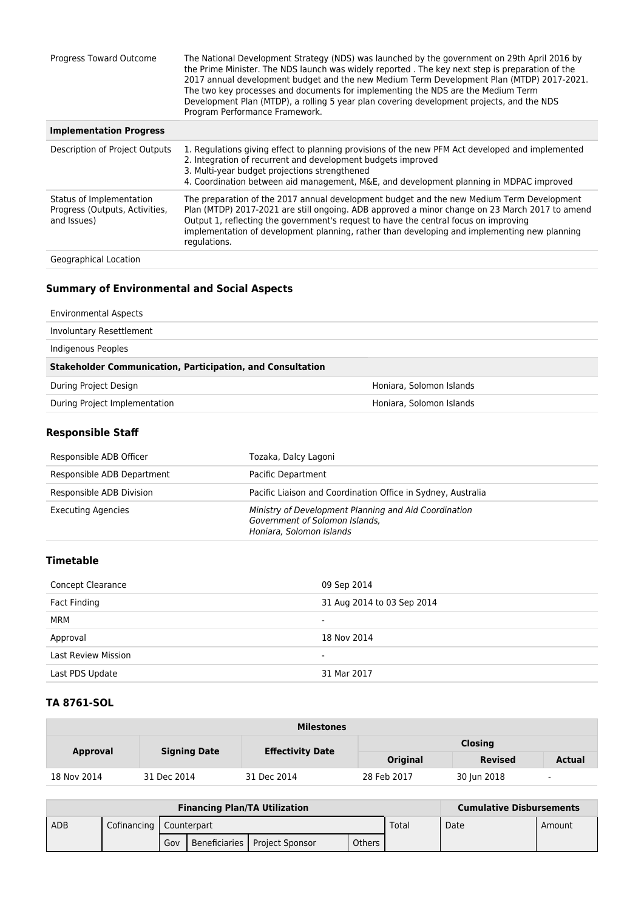| Progress Toward Outcome                                                   | The National Development Strategy (NDS) was launched by the government on 29th April 2016 by<br>the Prime Minister. The NDS launch was widely reported . The key next step is preparation of the<br>2017 annual development budget and the new Medium Term Development Plan (MTDP) 2017-2021.<br>The two key processes and documents for implementing the NDS are the Medium Term<br>Development Plan (MTDP), a rolling 5 year plan covering development projects, and the NDS<br>Program Performance Framework. |
|---------------------------------------------------------------------------|------------------------------------------------------------------------------------------------------------------------------------------------------------------------------------------------------------------------------------------------------------------------------------------------------------------------------------------------------------------------------------------------------------------------------------------------------------------------------------------------------------------|
| <b>Implementation Progress</b>                                            |                                                                                                                                                                                                                                                                                                                                                                                                                                                                                                                  |
| Description of Project Outputs                                            | 1. Regulations giving effect to planning provisions of the new PFM Act developed and implemented<br>2. Integration of recurrent and development budgets improved<br>3. Multi-year budget projections strengthened<br>4. Coordination between aid management, M&E, and development planning in MDPAC improved                                                                                                                                                                                                     |
| Status of Implementation<br>Progress (Outputs, Activities,<br>and Issues) | The preparation of the 2017 annual development budget and the new Medium Term Development<br>Plan (MTDP) 2017-2021 are still ongoing. ADB approved a minor change on 23 March 2017 to amend<br>Output 1, reflecting the government's request to have the central focus on improving<br>implementation of development planning, rather than developing and implementing new planning<br>regulations.                                                                                                              |
| Geographical Location                                                     |                                                                                                                                                                                                                                                                                                                                                                                                                                                                                                                  |

# **Summary of Environmental and Social Aspects**

| <b>Environmental Aspects</b>                                      |                          |
|-------------------------------------------------------------------|--------------------------|
| Involuntary Resettlement                                          |                          |
| Indigenous Peoples                                                |                          |
| <b>Stakeholder Communication, Participation, and Consultation</b> |                          |
|                                                                   |                          |
| During Project Design                                             | Honiara, Solomon Islands |
| During Project Implementation                                     | Honiara, Solomon Islands |

## **Responsible Staff**

| Responsible ADB Officer    | Tozaka, Dalcy Lagoni                                                                                                |
|----------------------------|---------------------------------------------------------------------------------------------------------------------|
| Responsible ADB Department | Pacific Department                                                                                                  |
| Responsible ADB Division   | Pacific Liaison and Coordination Office in Sydney, Australia                                                        |
| <b>Executing Agencies</b>  | Ministry of Development Planning and Aid Coordination<br>Government of Solomon Islands,<br>Honiara, Solomon Islands |

## **Timetable**

| <b>Concept Clearance</b>   | 09 Sep 2014                |
|----------------------------|----------------------------|
| Fact Finding               | 31 Aug 2014 to 03 Sep 2014 |
| <b>MRM</b>                 | $\overline{\phantom{a}}$   |
| Approval                   | 18 Nov 2014                |
| <b>Last Review Mission</b> | $\overline{\phantom{0}}$   |
| Last PDS Update            | 31 Mar 2017                |

### **TA 8761-SOL**

| <b>Milestones</b> |                     |                         |                 |                |                          |  |
|-------------------|---------------------|-------------------------|-----------------|----------------|--------------------------|--|
|                   | <b>Signing Date</b> | <b>Effectivity Date</b> | <b>Closing</b>  |                |                          |  |
| <b>Approval</b>   |                     |                         | <b>Original</b> | <b>Revised</b> | <b>Actual</b>            |  |
| 18 Nov 2014       | 31 Dec 2014         | 31 Dec 2014             | 28 Feb 2017     | 30 Jun 2018    | $\overline{\phantom{a}}$ |  |

| <b>Financing Plan/TA Utilization</b> |  |     |                           |                                 |        | <b>Cumulative Disbursements</b> |      |        |
|--------------------------------------|--|-----|---------------------------|---------------------------------|--------|---------------------------------|------|--------|
| ADB                                  |  |     | Cofinancing   Counterpart |                                 |        | Total                           | Date | Amount |
|                                      |  | Gov |                           | Beneficiaries   Project Sponsor | Others |                                 |      |        |